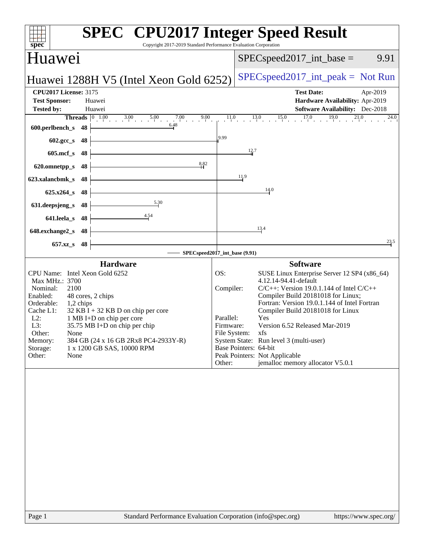| spec<br>Copyright 2017-2019 Standard Performance Evaluation Corporation                                                                                                                                                                                                                                                                                                                                                  | <b>SPEC<sup>®</sup> CPU2017 Integer Speed Result</b>                                                                                                                                                                                                                                                                                                                                                                                                                                                                              |
|--------------------------------------------------------------------------------------------------------------------------------------------------------------------------------------------------------------------------------------------------------------------------------------------------------------------------------------------------------------------------------------------------------------------------|-----------------------------------------------------------------------------------------------------------------------------------------------------------------------------------------------------------------------------------------------------------------------------------------------------------------------------------------------------------------------------------------------------------------------------------------------------------------------------------------------------------------------------------|
| Huawei                                                                                                                                                                                                                                                                                                                                                                                                                   | $SPEC speed2017\_int\_base =$<br>9.91                                                                                                                                                                                                                                                                                                                                                                                                                                                                                             |
| Huawei 1288H V5 (Intel Xeon Gold 6252)                                                                                                                                                                                                                                                                                                                                                                                   | $SPEC speed2017\_int\_peak = Not Run$                                                                                                                                                                                                                                                                                                                                                                                                                                                                                             |
| <b>CPU2017 License: 3175</b><br><b>Test Sponsor:</b><br>Huawei<br><b>Tested by:</b><br>Huawei<br><b>Threads</b> $\begin{bmatrix} 0 & 1.00 & 3.00 & 5.00 & 7.00 & 9.00 \end{bmatrix}$                                                                                                                                                                                                                                     | <b>Test Date:</b><br>Apr-2019<br>Hardware Availability: Apr-2019<br>Software Availability: Dec-2018<br>$11.0$ $13.0$ $15.0$ $17.0$ $19.0$ $21.0$<br>$24.0$ <sub>1</sub>                                                                                                                                                                                                                                                                                                                                                           |
| 6.48<br>600.perlbench_s<br>48                                                                                                                                                                                                                                                                                                                                                                                            | 9.99                                                                                                                                                                                                                                                                                                                                                                                                                                                                                                                              |
| 48<br>602.gcc_s                                                                                                                                                                                                                                                                                                                                                                                                          |                                                                                                                                                                                                                                                                                                                                                                                                                                                                                                                                   |
| $605$ .mcf_s<br>48<br>8.82                                                                                                                                                                                                                                                                                                                                                                                               | $\frac{12.7}{4}$                                                                                                                                                                                                                                                                                                                                                                                                                                                                                                                  |
| 48<br>620.omnetpp_s                                                                                                                                                                                                                                                                                                                                                                                                      | 11.9                                                                                                                                                                                                                                                                                                                                                                                                                                                                                                                              |
| 623.xalancbmk_s<br>48<br>$625.x264_s$<br>48                                                                                                                                                                                                                                                                                                                                                                              | 14.0                                                                                                                                                                                                                                                                                                                                                                                                                                                                                                                              |
| 5.30<br>631.deepsjeng_s<br>48                                                                                                                                                                                                                                                                                                                                                                                            |                                                                                                                                                                                                                                                                                                                                                                                                                                                                                                                                   |
| 4.54<br>641.leela_s<br>48                                                                                                                                                                                                                                                                                                                                                                                                |                                                                                                                                                                                                                                                                                                                                                                                                                                                                                                                                   |
| 648.exchange2_s<br>48                                                                                                                                                                                                                                                                                                                                                                                                    | 13.4                                                                                                                                                                                                                                                                                                                                                                                                                                                                                                                              |
| 657.xz_s<br>48                                                                                                                                                                                                                                                                                                                                                                                                           | 23.5                                                                                                                                                                                                                                                                                                                                                                                                                                                                                                                              |
|                                                                                                                                                                                                                                                                                                                                                                                                                          | SPECspeed2017_int_base (9.91)                                                                                                                                                                                                                                                                                                                                                                                                                                                                                                     |
| <b>Hardware</b><br>CPU Name: Intel Xeon Gold 6252<br>Max MHz.: 3700<br>Nominal:<br>2100<br>Enabled:<br>48 cores, 2 chips<br>Orderable:<br>1,2 chips<br>Cache L1:<br>$32$ KB I + 32 KB D on chip per core<br>$L2$ :<br>1 MB I+D on chip per core<br>L3:<br>35.75 MB I+D on chip per chip<br>Other:<br>None<br>384 GB (24 x 16 GB 2Rx8 PC4-2933Y-R)<br>Memory:<br>1 x 1200 GB SAS, 10000 RPM<br>Storage:<br>Other:<br>None | <b>Software</b><br>OS:<br>SUSE Linux Enterprise Server 12 SP4 (x86_64)<br>4.12.14-94.41-default<br>$C/C++$ : Version 19.0.1.144 of Intel $C/C++$<br>Compiler:<br>Compiler Build 20181018 for Linux;<br>Fortran: Version 19.0.1.144 of Intel Fortran<br>Compiler Build 20181018 for Linux<br>Parallel:<br>Yes<br>Version 6.52 Released Mar-2019<br>Firmware:<br>File System: xfs<br>System State: Run level 3 (multi-user)<br>Base Pointers: 64-bit<br>Peak Pointers: Not Applicable<br>jemalloc memory allocator V5.0.1<br>Other: |
|                                                                                                                                                                                                                                                                                                                                                                                                                          |                                                                                                                                                                                                                                                                                                                                                                                                                                                                                                                                   |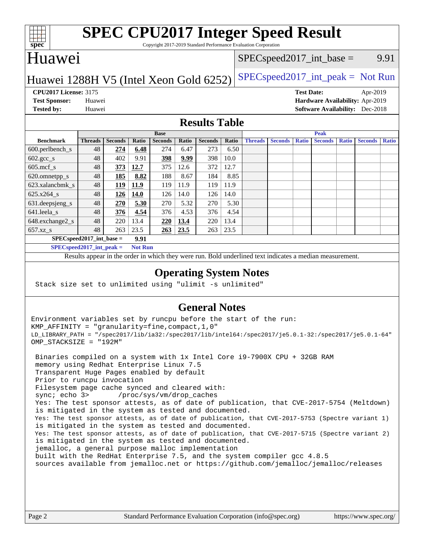

# **[SPEC CPU2017 Integer Speed Result](http://www.spec.org/auto/cpu2017/Docs/result-fields.html#SPECCPU2017IntegerSpeedResult)**

Copyright 2017-2019 Standard Performance Evaluation Corporation

## Huawei

### $SPEC speed2017\_int\_base =$  9.91

### Huawei 1288H V5 (Intel Xeon Gold  $6252$ ) [SPECspeed2017\\_int\\_peak =](http://www.spec.org/auto/cpu2017/Docs/result-fields.html#SPECspeed2017intpeak) Not Run

**[CPU2017 License:](http://www.spec.org/auto/cpu2017/Docs/result-fields.html#CPU2017License)** 3175 **[Test Date:](http://www.spec.org/auto/cpu2017/Docs/result-fields.html#TestDate)** Apr-2019 **[Test Sponsor:](http://www.spec.org/auto/cpu2017/Docs/result-fields.html#TestSponsor)** Huawei **[Hardware Availability:](http://www.spec.org/auto/cpu2017/Docs/result-fields.html#HardwareAvailability)** Apr-2019 **[Tested by:](http://www.spec.org/auto/cpu2017/Docs/result-fields.html#Testedby)** Huawei **[Software Availability:](http://www.spec.org/auto/cpu2017/Docs/result-fields.html#SoftwareAvailability)** Dec-2018

### **[Results Table](http://www.spec.org/auto/cpu2017/Docs/result-fields.html#ResultsTable)**

|                                      | <b>Base</b>    |                |       |                |       | <b>Peak</b>    |       |                |                |              |                |              |                |              |
|--------------------------------------|----------------|----------------|-------|----------------|-------|----------------|-------|----------------|----------------|--------------|----------------|--------------|----------------|--------------|
| <b>Benchmark</b>                     | <b>Threads</b> | <b>Seconds</b> | Ratio | <b>Seconds</b> | Ratio | <b>Seconds</b> | Ratio | <b>Threads</b> | <b>Seconds</b> | <b>Ratio</b> | <b>Seconds</b> | <b>Ratio</b> | <b>Seconds</b> | <b>Ratio</b> |
| $600.$ perlbench_s                   | 48             | 274            | 6.48  | 274            | 6.47  | 273            | 6.50  |                |                |              |                |              |                |              |
| $602 \text{.} \text{gcc}\text{_<}$ s | 48             | 402            | 9.91  | 398            | 9.99  | 398            | 10.0  |                |                |              |                |              |                |              |
| $605$ .mcf s                         | 48             | 373            | 12.7  | 375            | 12.6  | 372            | 12.7  |                |                |              |                |              |                |              |
| 620.omnetpp_s                        | 48             | 185            | 8.82  | 188            | 8.67  | 184            | 8.85  |                |                |              |                |              |                |              |
| 623.xalancbmk s                      | 48             | 119            | 11.9  | 119            | 11.9  | 119            | 11.9  |                |                |              |                |              |                |              |
| 625.x264 s                           | 48             | 126            | 14.0  | 126            | 14.0  | 126            | 14.0  |                |                |              |                |              |                |              |
| 631.deepsjeng_s                      | 48             | 270            | 5.30  | 270            | 5.32  | 270            | 5.30  |                |                |              |                |              |                |              |
| 641.leela s                          | 48             | 376            | 4.54  | 376            | 4.53  | 376            | 4.54  |                |                |              |                |              |                |              |
| 648.exchange2_s                      | 48             | 220            | 13.4  | 220            | 13.4  | 220            | 13.4  |                |                |              |                |              |                |              |
| $657.xz$ s                           | 48             | 263            | 23.5  | 263            | 23.5  | 263            | 23.5  |                |                |              |                |              |                |              |
| $SPECspeed2017$ int base =<br>9.91   |                |                |       |                |       |                |       |                |                |              |                |              |                |              |

**[SPECspeed2017\\_int\\_peak =](http://www.spec.org/auto/cpu2017/Docs/result-fields.html#SPECspeed2017intpeak) Not Run**

Results appear in the [order in which they were run.](http://www.spec.org/auto/cpu2017/Docs/result-fields.html#RunOrder) Bold underlined text [indicates a median measurement.](http://www.spec.org/auto/cpu2017/Docs/result-fields.html#Median)

### **[Operating System Notes](http://www.spec.org/auto/cpu2017/Docs/result-fields.html#OperatingSystemNotes)**

Stack size set to unlimited using "ulimit -s unlimited"

### **[General Notes](http://www.spec.org/auto/cpu2017/Docs/result-fields.html#GeneralNotes)**

Environment variables set by runcpu before the start of the run: KMP\_AFFINITY = "granularity=fine,compact,1,0" LD\_LIBRARY\_PATH = "/spec2017/lib/ia32:/spec2017/lib/intel64:/spec2017/je5.0.1-32:/spec2017/je5.0.1-64" OMP\_STACKSIZE = "192M"

 Binaries compiled on a system with 1x Intel Core i9-7900X CPU + 32GB RAM memory using Redhat Enterprise Linux 7.5 Transparent Huge Pages enabled by default Prior to runcpu invocation Filesystem page cache synced and cleared with: sync; echo 3> /proc/sys/vm/drop\_caches Yes: The test sponsor attests, as of date of publication, that CVE-2017-5754 (Meltdown) is mitigated in the system as tested and documented. Yes: The test sponsor attests, as of date of publication, that CVE-2017-5753 (Spectre variant 1) is mitigated in the system as tested and documented. Yes: The test sponsor attests, as of date of publication, that CVE-2017-5715 (Spectre variant 2) is mitigated in the system as tested and documented. jemalloc, a general purpose malloc implementation built with the RedHat Enterprise 7.5, and the system compiler gcc 4.8.5 sources available from jemalloc.net or <https://github.com/jemalloc/jemalloc/releases>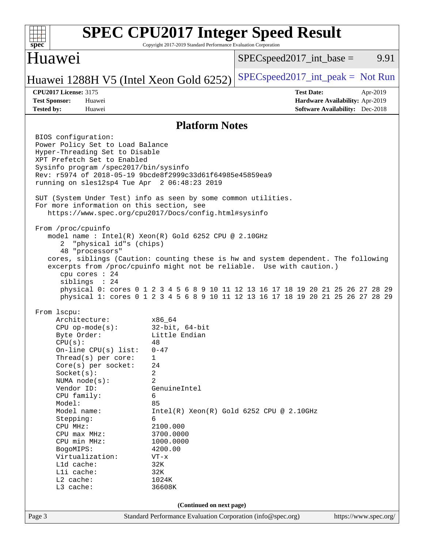| spec <sup>®</sup>                                                                                                                                                                                                                                                                                                                                                                                                                                      | Copyright 2017-2019 Standard Performance Evaluation Corporation                                                                                                                                                                             | <b>SPEC CPU2017 Integer Speed Result</b>                                                                                                                                                                                                                   |                       |
|--------------------------------------------------------------------------------------------------------------------------------------------------------------------------------------------------------------------------------------------------------------------------------------------------------------------------------------------------------------------------------------------------------------------------------------------------------|---------------------------------------------------------------------------------------------------------------------------------------------------------------------------------------------------------------------------------------------|------------------------------------------------------------------------------------------------------------------------------------------------------------------------------------------------------------------------------------------------------------|-----------------------|
| Huawei                                                                                                                                                                                                                                                                                                                                                                                                                                                 |                                                                                                                                                                                                                                             | $SPEC speed2017\_int\_base =$                                                                                                                                                                                                                              | 9.91                  |
| Huawei 1288H V5 (Intel Xeon Gold 6252)                                                                                                                                                                                                                                                                                                                                                                                                                 |                                                                                                                                                                                                                                             | $SPEC speed2017\_int\_peak = Not Run$                                                                                                                                                                                                                      |                       |
| <b>CPU2017 License: 3175</b><br><b>Test Sponsor:</b><br>Huawei<br><b>Tested by:</b><br>Huawei                                                                                                                                                                                                                                                                                                                                                          |                                                                                                                                                                                                                                             | <b>Test Date:</b><br>Hardware Availability: Apr-2019<br><b>Software Availability:</b> Dec-2018                                                                                                                                                             | Apr-2019              |
|                                                                                                                                                                                                                                                                                                                                                                                                                                                        | <b>Platform Notes</b>                                                                                                                                                                                                                       |                                                                                                                                                                                                                                                            |                       |
| BIOS configuration:<br>Power Policy Set to Load Balance<br>Hyper-Threading Set to Disable<br>XPT Prefetch Set to Enabled<br>Sysinfo program /spec2017/bin/sysinfo<br>Rev: r5974 of 2018-05-19 9bcde8f2999c33d61f64985e45859ea9<br>running on sles12sp4 Tue Apr 2 06:48:23 2019<br>SUT (System Under Test) info as seen by some common utilities.<br>For more information on this section, see<br>https://www.spec.org/cpu2017/Docs/config.html#sysinfo |                                                                                                                                                                                                                                             |                                                                                                                                                                                                                                                            |                       |
| From /proc/cpuinfo<br>model name : Intel(R) Xeon(R) Gold 6252 CPU @ 2.10GHz<br>"physical id"s (chips)<br>2<br>48 "processors"<br>excerpts from /proc/cpuinfo might not be reliable. Use with caution.)<br>cpu cores : 24<br>siblings : 24                                                                                                                                                                                                              |                                                                                                                                                                                                                                             | cores, siblings (Caution: counting these is hw and system dependent. The following<br>physical 0: cores 0 1 2 3 4 5 6 8 9 10 11 12 13 16 17 18 19 20 21 25 26 27 28 29<br>physical 1: cores 0 1 2 3 4 5 6 8 9 10 11 12 13 16 17 18 19 20 21 25 26 27 28 29 |                       |
| From lscpu:<br>Architecture:<br>$CPU$ op-mode( $s$ ):<br>Byte Order:<br>CPU(s):<br>On-line CPU(s) list:<br>Thread(s) per core:<br>Core(s) per socket:<br>Socket(s):<br>NUMA $node(s)$ :<br>Vendor ID:<br>CPU family:<br>Model:<br>Model name:<br>Stepping:<br>CPU MHz:<br>CPU max MHz:<br>CPU min MHz:<br>BogoMIPS:<br>Virtualization:<br>L1d cache:<br>Lli cache:<br>L2 cache:<br>L3 cache:                                                           | x86 64<br>$32$ -bit, $64$ -bit<br>Little Endian<br>48<br>$0 - 47$<br>$\mathbf 1$<br>24<br>2<br>$\overline{2}$<br>GenuineIntel<br>6<br>85<br>6<br>2100.000<br>3700.0000<br>1000.0000<br>4200.00<br>$VT - x$<br>32K<br>32K<br>1024K<br>36608K | Intel(R) Xeon(R) Gold 6252 CPU @ 2.10GHz                                                                                                                                                                                                                   |                       |
| Page 3                                                                                                                                                                                                                                                                                                                                                                                                                                                 | (Continued on next page)<br>Standard Performance Evaluation Corporation (info@spec.org)                                                                                                                                                     |                                                                                                                                                                                                                                                            | https://www.spec.org/ |
|                                                                                                                                                                                                                                                                                                                                                                                                                                                        |                                                                                                                                                                                                                                             |                                                                                                                                                                                                                                                            |                       |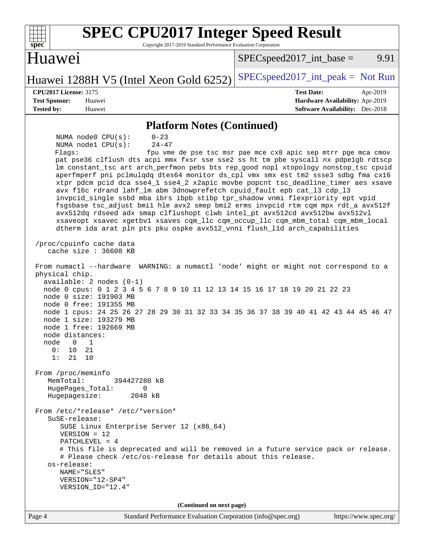| <b>SPEC CPU2017 Integer Speed Result</b><br>Copyright 2017-2019 Standard Performance Evaluation Corporation<br>$spec^*$                                                                                                                                                                                                                                                                                                                                                                                                                                                                                                                                                                                                                                                                                                                                                                                                                                                                                                                                                                                                                                                                                                                                                                                                                                                                                                                                                                                                                                                                                                                                                                                                                                                                                                                                                                                                                                                          |                                                                                                            |
|----------------------------------------------------------------------------------------------------------------------------------------------------------------------------------------------------------------------------------------------------------------------------------------------------------------------------------------------------------------------------------------------------------------------------------------------------------------------------------------------------------------------------------------------------------------------------------------------------------------------------------------------------------------------------------------------------------------------------------------------------------------------------------------------------------------------------------------------------------------------------------------------------------------------------------------------------------------------------------------------------------------------------------------------------------------------------------------------------------------------------------------------------------------------------------------------------------------------------------------------------------------------------------------------------------------------------------------------------------------------------------------------------------------------------------------------------------------------------------------------------------------------------------------------------------------------------------------------------------------------------------------------------------------------------------------------------------------------------------------------------------------------------------------------------------------------------------------------------------------------------------------------------------------------------------------------------------------------------------|------------------------------------------------------------------------------------------------------------|
| Huawei                                                                                                                                                                                                                                                                                                                                                                                                                                                                                                                                                                                                                                                                                                                                                                                                                                                                                                                                                                                                                                                                                                                                                                                                                                                                                                                                                                                                                                                                                                                                                                                                                                                                                                                                                                                                                                                                                                                                                                           | 9.91<br>$SPEC speed2017\_int\_base =$                                                                      |
| Huawei 1288H V5 (Intel Xeon Gold 6252)                                                                                                                                                                                                                                                                                                                                                                                                                                                                                                                                                                                                                                                                                                                                                                                                                                                                                                                                                                                                                                                                                                                                                                                                                                                                                                                                                                                                                                                                                                                                                                                                                                                                                                                                                                                                                                                                                                                                           | $SPEC speed2017\_int\_peak = Not Run$                                                                      |
| <b>CPU2017 License: 3175</b><br><b>Test Sponsor:</b><br>Huawei<br>Tested by:<br>Huawei                                                                                                                                                                                                                                                                                                                                                                                                                                                                                                                                                                                                                                                                                                                                                                                                                                                                                                                                                                                                                                                                                                                                                                                                                                                                                                                                                                                                                                                                                                                                                                                                                                                                                                                                                                                                                                                                                           | <b>Test Date:</b><br>Apr-2019<br>Hardware Availability: Apr-2019<br><b>Software Availability:</b> Dec-2018 |
| <b>Platform Notes (Continued)</b>                                                                                                                                                                                                                                                                                                                                                                                                                                                                                                                                                                                                                                                                                                                                                                                                                                                                                                                                                                                                                                                                                                                                                                                                                                                                                                                                                                                                                                                                                                                                                                                                                                                                                                                                                                                                                                                                                                                                                |                                                                                                            |
| NUMA node0 CPU(s):<br>$0 - 23$<br>NUMA nodel CPU(s):<br>$24 - 47$<br>Flaqs:<br>pat pse36 clflush dts acpi mmx fxsr sse sse2 ss ht tm pbe syscall nx pdpe1gb rdtscp<br>lm constant_tsc art arch_perfmon pebs bts rep_good nopl xtopology nonstop_tsc cpuid<br>aperfmperf pni pclmulqdq dtes64 monitor ds_cpl vmx smx est tm2 ssse3 sdbg fma cx16<br>xtpr pdcm pcid dca sse4_1 sse4_2 x2apic movbe popcnt tsc_deadline_timer aes xsave<br>avx f16c rdrand lahf_lm abm 3dnowprefetch cpuid_fault epb cat_13 cdp_13<br>invpcid_single ssbd mba ibrs ibpb stibp tpr_shadow vnmi flexpriority ept vpid<br>fsgsbase tsc_adjust bmil hle avx2 smep bmi2 erms invpcid rtm cqm mpx rdt_a avx512f<br>avx512dq rdseed adx smap clflushopt clwb intel_pt avx512cd avx512bw avx512vl<br>xsaveopt xsavec xgetbvl xsaves cqm_llc cqm_occup_llc cqm_mbm_total cqm_mbm_local<br>dtherm ida arat pln pts pku ospke avx512_vnni flush_lld arch_capabilities<br>/proc/cpuinfo cache data<br>cache size $: 36608$ KB<br>From numactl --hardware WARNING: a numactl 'node' might or might not correspond to a<br>physical chip.<br>$available: 2 nodes (0-1)$<br>node 0 cpus: 0 1 2 3 4 5 6 7 8 9 10 11 12 13 14 15 16 17 18 19 20 21 22 23<br>node 0 size: 191903 MB<br>node 0 free: 191355 MB<br>node 1 cpus: 24 25 26 27 28 29 30 31 32 33 34 35 36 37 38 39 40 41 42 43 44 45 46 47<br>node 1 size: 193279 MB<br>node 1 free: 192669 MB<br>node distances:<br>node<br>0<br>1<br>21<br>0:<br>10<br>1:<br>21<br>10<br>From /proc/meminfo<br>MemTotal:<br>394427280 kB<br>HugePages_Total:<br>0<br>Hugepagesize:<br>2048 kB<br>From /etc/*release* /etc/*version*<br>$S$ uSE-release:<br>SUSE Linux Enterprise Server 12 (x86_64)<br>$VERSION = 12$<br>PATCHLEVEL = $4$<br># This file is deprecated and will be removed in a future service pack or release.<br># Please check /etc/os-release for details about this release.<br>os-release:<br>NAME="SLES"<br>VERSION="12-SP4"<br>VERSION_ID="12.4" | fpu vme de pse tsc msr pae mce cx8 apic sep mtrr pge mca cmov                                              |
| (Continued on next page)<br>Page 4<br>Standard Performance Evaluation Corporation (info@spec.org)                                                                                                                                                                                                                                                                                                                                                                                                                                                                                                                                                                                                                                                                                                                                                                                                                                                                                                                                                                                                                                                                                                                                                                                                                                                                                                                                                                                                                                                                                                                                                                                                                                                                                                                                                                                                                                                                                | https://www.spec.org/                                                                                      |

 $\mathbf{I}$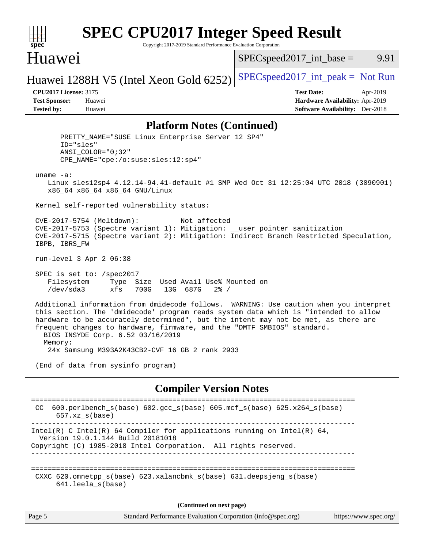

# **[SPEC CPU2017 Integer Speed Result](http://www.spec.org/auto/cpu2017/Docs/result-fields.html#SPECCPU2017IntegerSpeedResult)**

Copyright 2017-2019 Standard Performance Evaluation Corporation

## Huawei

 $SPEC speed2017\_int\_base =$  9.91

## Huawei 1288H V5 (Intel Xeon Gold  $6252$ ) [SPECspeed2017\\_int\\_peak =](http://www.spec.org/auto/cpu2017/Docs/result-fields.html#SPECspeed2017intpeak) Not Run

**[Tested by:](http://www.spec.org/auto/cpu2017/Docs/result-fields.html#Testedby)** Huawei **[Software Availability:](http://www.spec.org/auto/cpu2017/Docs/result-fields.html#SoftwareAvailability)** Dec-2018

**[CPU2017 License:](http://www.spec.org/auto/cpu2017/Docs/result-fields.html#CPU2017License)** 3175 **[Test Date:](http://www.spec.org/auto/cpu2017/Docs/result-fields.html#TestDate)** Apr-2019 **[Test Sponsor:](http://www.spec.org/auto/cpu2017/Docs/result-fields.html#TestSponsor)** Huawei **[Hardware Availability:](http://www.spec.org/auto/cpu2017/Docs/result-fields.html#HardwareAvailability)** Apr-2019

### **[Platform Notes \(Continued\)](http://www.spec.org/auto/cpu2017/Docs/result-fields.html#PlatformNotes)**

 PRETTY\_NAME="SUSE Linux Enterprise Server 12 SP4" ID="sles" ANSI\_COLOR="0;32" CPE\_NAME="cpe:/o:suse:sles:12:sp4" uname -a: Linux sles12sp4 4.12.14-94.41-default #1 SMP Wed Oct 31 12:25:04 UTC 2018 (3090901) x86\_64 x86\_64 x86\_64 GNU/Linux Kernel self-reported vulnerability status: CVE-2017-5754 (Meltdown): Not affected CVE-2017-5753 (Spectre variant 1): Mitigation: \_\_user pointer sanitization CVE-2017-5715 (Spectre variant 2): Mitigation: Indirect Branch Restricted Speculation, IBPB, IBRS\_FW run-level 3 Apr 2 06:38 SPEC is set to: /spec2017 Filesystem Type Size Used Avail Use% Mounted on /dev/sda3 xfs 700G 13G 687G 2% / Additional information from dmidecode follows. WARNING: Use caution when you interpret this section. The 'dmidecode' program reads system data which is "intended to allow hardware to be accurately determined", but the intent may not be met, as there are frequent changes to hardware, firmware, and the "DMTF SMBIOS" standard. BIOS INSYDE Corp. 6.52 03/16/2019 Memory: 24x Samsung M393A2K43CB2-CVF 16 GB 2 rank 2933 (End of data from sysinfo program) **[Compiler Version Notes](http://www.spec.org/auto/cpu2017/Docs/result-fields.html#CompilerVersionNotes)** ============================================================================== CC 600.perlbench\_s(base) 602.gcc\_s(base) 605.mcf\_s(base) 625.x264\_s(base) 657.xz\_s(base) ------------------------------------------------------------------------------ Intel(R) C Intel(R) 64 Compiler for applications running on Intel(R)  $64$ , Version 19.0.1.144 Build 20181018 Copyright (C) 1985-2018 Intel Corporation. All rights reserved. ------------------------------------------------------------------------------ ============================================================================== CXXC 620.omnetpp\_s(base) 623.xalancbmk\_s(base) 631.deepsjeng\_s(base) 641.leela\_s(base)

**(Continued on next page)**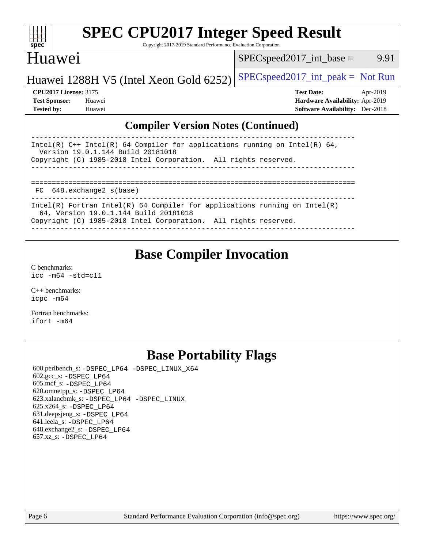| S<br>ne<br>I<br>Ľ |  |  |  |  |  |
|-------------------|--|--|--|--|--|

# **[SPEC CPU2017 Integer Speed Result](http://www.spec.org/auto/cpu2017/Docs/result-fields.html#SPECCPU2017IntegerSpeedResult)**

Copyright 2017-2019 Standard Performance Evaluation Corporation

# Huawei

 $SPEC speed2017\_int\_base =$  9.91

# Huawei 1288H V5 (Intel Xeon Gold  $6252$ ) [SPECspeed2017\\_int\\_peak =](http://www.spec.org/auto/cpu2017/Docs/result-fields.html#SPECspeed2017intpeak) Not Run

**[Tested by:](http://www.spec.org/auto/cpu2017/Docs/result-fields.html#Testedby)** Huawei **[Software Availability:](http://www.spec.org/auto/cpu2017/Docs/result-fields.html#SoftwareAvailability)** Dec-2018

**[CPU2017 License:](http://www.spec.org/auto/cpu2017/Docs/result-fields.html#CPU2017License)** 3175 **[Test Date:](http://www.spec.org/auto/cpu2017/Docs/result-fields.html#TestDate)** Apr-2019 **[Test Sponsor:](http://www.spec.org/auto/cpu2017/Docs/result-fields.html#TestSponsor)** Huawei **[Hardware Availability:](http://www.spec.org/auto/cpu2017/Docs/result-fields.html#HardwareAvailability)** Apr-2019

### **[Compiler Version Notes \(Continued\)](http://www.spec.org/auto/cpu2017/Docs/result-fields.html#CompilerVersionNotes)**

| Intel(R) C++ Intel(R) 64 Compiler for applications running on Intel(R) 64,<br>Version 19.0.1.144 Build 20181018     |  |  |  |  |  |
|---------------------------------------------------------------------------------------------------------------------|--|--|--|--|--|
| Copyright (C) 1985-2018 Intel Corporation. All rights reserved.                                                     |  |  |  |  |  |
|                                                                                                                     |  |  |  |  |  |
|                                                                                                                     |  |  |  |  |  |
|                                                                                                                     |  |  |  |  |  |
|                                                                                                                     |  |  |  |  |  |
| FC 648.exchange2 s(base)                                                                                            |  |  |  |  |  |
|                                                                                                                     |  |  |  |  |  |
| Intel(R) Fortran Intel(R) 64 Compiler for applications running on Intel(R)<br>64, Version 19.0.1.144 Build 20181018 |  |  |  |  |  |
| Copyright (C) 1985-2018 Intel Corporation. All rights reserved.                                                     |  |  |  |  |  |
|                                                                                                                     |  |  |  |  |  |
|                                                                                                                     |  |  |  |  |  |

# **[Base Compiler Invocation](http://www.spec.org/auto/cpu2017/Docs/result-fields.html#BaseCompilerInvocation)**

[C benchmarks](http://www.spec.org/auto/cpu2017/Docs/result-fields.html#Cbenchmarks): [icc -m64 -std=c11](http://www.spec.org/cpu2017/results/res2019q2/cpu2017-20190428-12533.flags.html#user_CCbase_intel_icc_64bit_c11_33ee0cdaae7deeeab2a9725423ba97205ce30f63b9926c2519791662299b76a0318f32ddfffdc46587804de3178b4f9328c46fa7c2b0cd779d7a61945c91cd35)

[C++ benchmarks:](http://www.spec.org/auto/cpu2017/Docs/result-fields.html#CXXbenchmarks) [icpc -m64](http://www.spec.org/cpu2017/results/res2019q2/cpu2017-20190428-12533.flags.html#user_CXXbase_intel_icpc_64bit_4ecb2543ae3f1412ef961e0650ca070fec7b7afdcd6ed48761b84423119d1bf6bdf5cad15b44d48e7256388bc77273b966e5eb805aefd121eb22e9299b2ec9d9)

[Fortran benchmarks](http://www.spec.org/auto/cpu2017/Docs/result-fields.html#Fortranbenchmarks): [ifort -m64](http://www.spec.org/cpu2017/results/res2019q2/cpu2017-20190428-12533.flags.html#user_FCbase_intel_ifort_64bit_24f2bb282fbaeffd6157abe4f878425411749daecae9a33200eee2bee2fe76f3b89351d69a8130dd5949958ce389cf37ff59a95e7a40d588e8d3a57e0c3fd751)

# **[Base Portability Flags](http://www.spec.org/auto/cpu2017/Docs/result-fields.html#BasePortabilityFlags)**

 600.perlbench\_s: [-DSPEC\\_LP64](http://www.spec.org/cpu2017/results/res2019q2/cpu2017-20190428-12533.flags.html#b600.perlbench_s_basePORTABILITY_DSPEC_LP64) [-DSPEC\\_LINUX\\_X64](http://www.spec.org/cpu2017/results/res2019q2/cpu2017-20190428-12533.flags.html#b600.perlbench_s_baseCPORTABILITY_DSPEC_LINUX_X64) 602.gcc\_s: [-DSPEC\\_LP64](http://www.spec.org/cpu2017/results/res2019q2/cpu2017-20190428-12533.flags.html#suite_basePORTABILITY602_gcc_s_DSPEC_LP64) 605.mcf\_s: [-DSPEC\\_LP64](http://www.spec.org/cpu2017/results/res2019q2/cpu2017-20190428-12533.flags.html#suite_basePORTABILITY605_mcf_s_DSPEC_LP64) 620.omnetpp\_s: [-DSPEC\\_LP64](http://www.spec.org/cpu2017/results/res2019q2/cpu2017-20190428-12533.flags.html#suite_basePORTABILITY620_omnetpp_s_DSPEC_LP64) 623.xalancbmk\_s: [-DSPEC\\_LP64](http://www.spec.org/cpu2017/results/res2019q2/cpu2017-20190428-12533.flags.html#suite_basePORTABILITY623_xalancbmk_s_DSPEC_LP64) [-DSPEC\\_LINUX](http://www.spec.org/cpu2017/results/res2019q2/cpu2017-20190428-12533.flags.html#b623.xalancbmk_s_baseCXXPORTABILITY_DSPEC_LINUX) 625.x264\_s: [-DSPEC\\_LP64](http://www.spec.org/cpu2017/results/res2019q2/cpu2017-20190428-12533.flags.html#suite_basePORTABILITY625_x264_s_DSPEC_LP64) 631.deepsjeng\_s: [-DSPEC\\_LP64](http://www.spec.org/cpu2017/results/res2019q2/cpu2017-20190428-12533.flags.html#suite_basePORTABILITY631_deepsjeng_s_DSPEC_LP64) 641.leela\_s: [-DSPEC\\_LP64](http://www.spec.org/cpu2017/results/res2019q2/cpu2017-20190428-12533.flags.html#suite_basePORTABILITY641_leela_s_DSPEC_LP64) 648.exchange2\_s: [-DSPEC\\_LP64](http://www.spec.org/cpu2017/results/res2019q2/cpu2017-20190428-12533.flags.html#suite_basePORTABILITY648_exchange2_s_DSPEC_LP64) 657.xz\_s: [-DSPEC\\_LP64](http://www.spec.org/cpu2017/results/res2019q2/cpu2017-20190428-12533.flags.html#suite_basePORTABILITY657_xz_s_DSPEC_LP64)